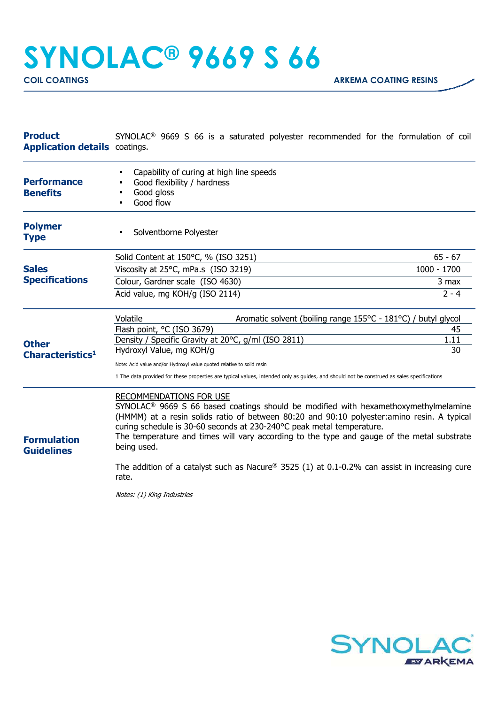## **SYNOLAC® 9669 S 66**

| <b>Product</b><br><b>Application details</b> coatings. | SYNOLAC <sup>®</sup> 9669 S 66 is a saturated polyester recommended for the formulation of coil                                                                                                                                                                                                                                                                                                                        |               |  |
|--------------------------------------------------------|------------------------------------------------------------------------------------------------------------------------------------------------------------------------------------------------------------------------------------------------------------------------------------------------------------------------------------------------------------------------------------------------------------------------|---------------|--|
| <b>Performance</b><br><b>Benefits</b>                  | Capability of curing at high line speeds<br>Good flexibility / hardness<br>Good gloss<br>Good flow                                                                                                                                                                                                                                                                                                                     |               |  |
| <b>Polymer</b><br><b>Type</b>                          | Solventborne Polyester                                                                                                                                                                                                                                                                                                                                                                                                 |               |  |
|                                                        | Solid Content at 150°C, % (ISO 3251)                                                                                                                                                                                                                                                                                                                                                                                   | $65 - 67$     |  |
| <b>Sales</b><br><b>Specifications</b>                  | Viscosity at 25°C, mPa.s (ISO 3219)                                                                                                                                                                                                                                                                                                                                                                                    | $1000 - 1700$ |  |
|                                                        | Colour, Gardner scale (ISO 4630)                                                                                                                                                                                                                                                                                                                                                                                       | 3 max         |  |
|                                                        | Acid value, mg KOH/g (ISO 2114)                                                                                                                                                                                                                                                                                                                                                                                        | $2 - 4$       |  |
| <b>Other</b><br>Characteristics <sup>1</sup>           | Aromatic solvent (boiling range 155°C - 181°C) / butyl glycol<br>Volatile                                                                                                                                                                                                                                                                                                                                              |               |  |
|                                                        | Flash point, °C (ISO 3679)                                                                                                                                                                                                                                                                                                                                                                                             | 45            |  |
|                                                        | Density / Specific Gravity at 20°C, g/ml (ISO 2811)<br>Hydroxyl Value, mg KOH/g                                                                                                                                                                                                                                                                                                                                        | 1.11<br>30    |  |
|                                                        | Note: Acid value and/or Hydroxyl value quoted relative to solid resin                                                                                                                                                                                                                                                                                                                                                  |               |  |
|                                                        | 1 The data provided for these properties are typical values, intended only as guides, and should not be construed as sales specifications                                                                                                                                                                                                                                                                              |               |  |
| <b>Formulation</b><br><b>Guidelines</b>                | <b>RECOMMENDATIONS FOR USE</b><br>SYNOLAC <sup>®</sup> 9669 S 66 based coatings should be modified with hexamethoxymethylmelamine<br>(HMMM) at a resin solids ratio of between 80:20 and 90:10 polyester: amino resin. A typical<br>curing schedule is 30-60 seconds at 230-240°C peak metal temperature.<br>The temperature and times will vary according to the type and gauge of the metal substrate<br>being used. |               |  |
|                                                        | The addition of a catalyst such as Nacure® 3525 (1) at 0.1-0.2% can assist in increasing cure<br>rate.                                                                                                                                                                                                                                                                                                                 |               |  |
|                                                        | Notes: (1) King Industries                                                                                                                                                                                                                                                                                                                                                                                             |               |  |